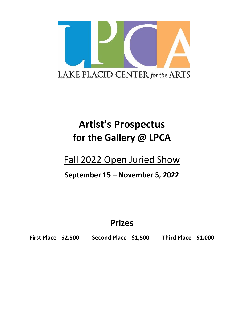

# **Artist's Prospectus for the Gallery @ LPCA**

## Fall 2022 Open Juried Show

### **September 15 – November 5, 2022**

## **Prizes**

**First Place - \$2,500 Second Place - \$1,500 Third Place - \$1,000**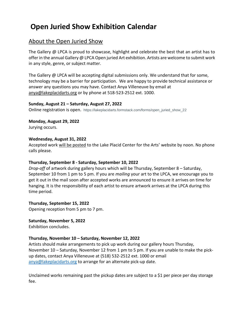### **Open Juried Show Exhibition Calendar**

#### About the Open Juried Show

The Gallery @ LPCA is proud to showcase, highlight and celebrate the best that an artist has to offer in the annual Gallery @ LPCA Open juried Art exhibition. Artists are welcome to submit work in any style, genre, or subject matter.

The Gallery @ LPCA will be accepting digital submissions only. We understand that for some, technology may be a barrier for participation. We are happy to provide technical assistance or answer any questions you may have. Contact Anya Villeneuve by email at [anya@lakeplacidarts.org](mailto:anya@lakeplacidarts.org) or by phone at 518-523-2512 ext. 1000.

#### **Sunday, August 21 – Saturday, August 27, 2022**

Online registration is open. https://lakeplacidarts.formstack.com/forms/open\_juried\_show\_22

### **Monday, August 29, 2022**

Jurying occurs.

#### **Wednesday, August 31, 2022**

Accepted work will be posted to the Lake Placid Center for the Arts' website by noon. No phone calls please.

#### **Thursday, September 8 - Saturday, September 10, 2022**

*Drop-off* of artwork during gallery hours which will be Thursday, September 8 – Saturday, September 10 from 1 pm to 5 pm. If you are *mailing* your art to the LPCA, we encourage you to get it out in the mail soon after accepted works are announced to ensure it arrives on time for hanging. It is the responsibility of each artist to ensure artwork arrives at the LPCA during this time period.

#### **Thursday, September 15, 2022**

Opening reception from 5 pm to 7 pm.

**Saturday, November 5, 2022**

Exhibition concludes.

#### **Thursday, November 10 – Saturday, November 12, 2022**

Artists should make arrangements to pick up work during our gallery hours Thursday, November 10 – Saturday, November 12 from 1 pm to 5 pm. If you are unable to make the pickup dates, contact Anya Villeneuve at (518) 532-2512 ext. 1000 or email [anya@lakeplacidarts.org](mailto:anya@lakeplacidarts.org) to arrange for an alternate pick-up date.

Unclaimed works remaining past the pickup dates are subject to a \$1 per piece per day storage fee.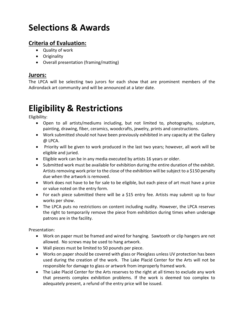## **Selections & Awards**

### **Criteria of Evaluation:**

- Quality of work
- Originality
- Overall presentation (framing/matting)

#### **Jurors:**

The LPCA will be selecting two jurors for each show that are prominent members of the Adirondack art community and will be announced at a later date.

## **Eligibility & Restrictions**

Eligibility:

- Open to all artists/mediums including, but not limited to, photography, sculpture, painting, drawing, fiber, ceramics, woodcrafts, jewelry, prints and constructions.
- Work submitted should not have been previously exhibited in any capacity at the Gallery @ LPCA.
- Priority will be given to work produced in the last two years; however, all work will be eligible and juried.
- Eligible work can be in any media executed by artists 16 years or older.
- Submitted work must be available for exhibition during the entire duration of the exhibit. Artists removing work prior to the close of the exhibition will be subject to a \$150 penalty due when the artwork is removed.
- Work does not have to be for sale to be eligible, but each piece of art must have a price or value noted on the entry form.
- For each piece submitted there will be a \$15 entry fee. Artists may submit up to four works per show.
- The LPCA puts no restrictions on content including nudity. However, the LPCA reserves the right to temporarily remove the piece from exhibition during times when underage patrons are in the facility.

Presentation:

- Work on paper must be framed and wired for hanging. Sawtooth or clip hangers are not allowed. No screws may be used to hang artwork.
- Wall pieces must be limited to 50 pounds per piece.
- Works on paper should be covered with glass or Plexiglass unless UV protection has been used during the creation of the work. The Lake Placid Center for the Arts will not be responsible for damage to glass or artwork from improperly framed work.
- The Lake Placid Center for the Arts reserves to the right at all times to exclude any work that presents complex exhibition problems. If the work is deemed too complex to adequately present, a refund of the entry price will be issued.